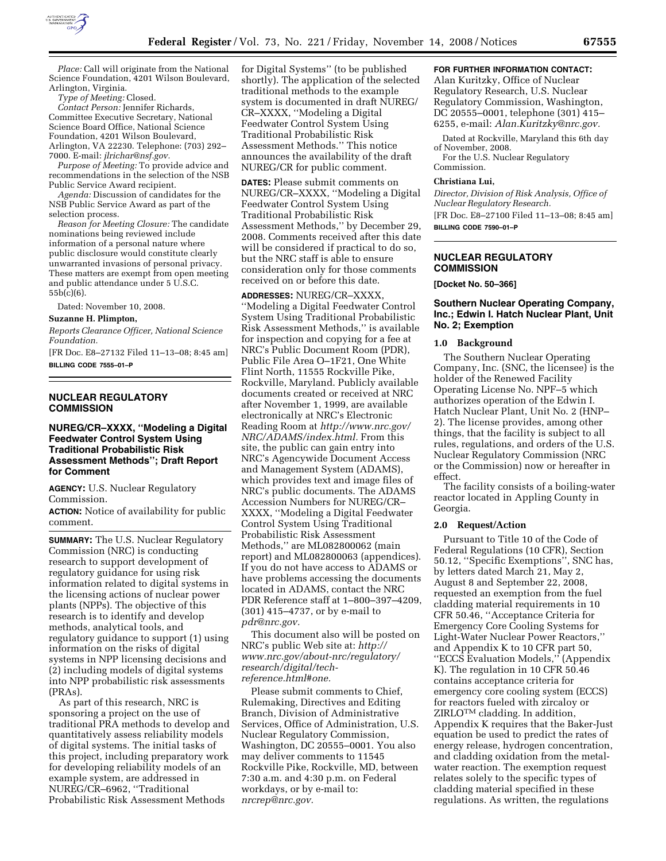

*Place:* Call will originate from the National Science Foundation, 4201 Wilson Boulevard, Arlington, Virginia.

*Type of Meeting:* Closed.

*Contact Person:* Jennifer Richards, Committee Executive Secretary, National Science Board Office, National Science Foundation, 4201 Wilson Boulevard, Arlington, VA 22230. Telephone: (703) 292– 7000. E-mail: *jlrichar@nsf.gov.* 

*Purpose of Meeting:* To provide advice and recommendations in the selection of the NSB Public Service Award recipient.

*Agenda:* Discussion of candidates for the NSB Public Service Award as part of the selection process.

*Reason for Meeting Closure:* The candidate nominations being reviewed include information of a personal nature where public disclosure would constitute clearly unwarranted invasions of personal privacy. These matters are exempt from open meeting and public attendance under 5 U.S.C. 55b(c)(6).

Dated: November 10, 2008.

# **Suzanne H. Plimpton,**

*Reports Clearance Officer, National Science Foundation.* 

[FR Doc. E8–27132 Filed 11–13–08; 8:45 am] **BILLING CODE 7555–01–P** 

## **NUCLEAR REGULATORY COMMISSION**

# **NUREG/CR–XXXX, ''Modeling a Digital Feedwater Control System Using Traditional Probabilistic Risk Assessment Methods''; Draft Report for Comment**

**AGENCY:** U.S. Nuclear Regulatory Commission.

**ACTION:** Notice of availability for public comment.

**SUMMARY:** The U.S. Nuclear Regulatory Commission (NRC) is conducting research to support development of regulatory guidance for using risk information related to digital systems in the licensing actions of nuclear power plants (NPPs). The objective of this research is to identify and develop methods, analytical tools, and regulatory guidance to support (1) using information on the risks of digital systems in NPP licensing decisions and (2) including models of digital systems into NPP probabilistic risk assessments (PRAs).

As part of this research, NRC is sponsoring a project on the use of traditional PRA methods to develop and quantitatively assess reliability models of digital systems. The initial tasks of this project, including preparatory work for developing reliability models of an example system, are addressed in NUREG/CR–6962, ''Traditional Probabilistic Risk Assessment Methods

for Digital Systems'' (to be published shortly). The application of the selected traditional methods to the example system is documented in draft NUREG/ CR–XXXX, ''Modeling a Digital Feedwater Control System Using Traditional Probabilistic Risk Assessment Methods.'' This notice announces the availability of the draft NUREG/CR for public comment.

**DATES:** Please submit comments on NUREG/CR–XXXX, ''Modeling a Digital Feedwater Control System Using Traditional Probabilistic Risk Assessment Methods,'' by December 29, 2008. Comments received after this date will be considered if practical to do so, but the NRC staff is able to ensure consideration only for those comments received on or before this date.

**ADDRESSES:** NUREG/CR–XXXX, ''Modeling a Digital Feedwater Control System Using Traditional Probabilistic Risk Assessment Methods,'' is available for inspection and copying for a fee at NRC's Public Document Room (PDR), Public File Area O–1F21, One White Flint North, 11555 Rockville Pike, Rockville, Maryland. Publicly available documents created or received at NRC after November 1, 1999, are available electronically at NRC's Electronic Reading Room at *http://www.nrc.gov/ NRC/ADAMS/index.html.* From this site, the public can gain entry into NRC's Agencywide Document Access and Management System (ADAMS), which provides text and image files of NRC's public documents. The ADAMS Accession Numbers for NUREG/CR– XXXX, ''Modeling a Digital Feedwater Control System Using Traditional Probabilistic Risk Assessment Methods,'' are ML082800062 (main report) and ML082800063 (appendices). If you do not have access to ADAMS or have problems accessing the documents located in ADAMS, contact the NRC PDR Reference staff at 1–800–397–4209, (301) 415–4737, or by e-mail to *pdr@nrc.gov.* 

This document also will be posted on NRC's public Web site at: *http:// www.nrc.gov/about-nrc/regulatory/ research/digital/techreference.html#one.* 

Please submit comments to Chief, Rulemaking, Directives and Editing Branch, Division of Administrative Services, Office of Administration, U.S. Nuclear Regulatory Commission, Washington, DC 20555–0001. You also may deliver comments to 11545 Rockville Pike, Rockville, MD, between 7:30 a.m. and 4:30 p.m. on Federal workdays, or by e-mail to: *nrcrep@nrc.gov.* 

# **FOR FURTHER INFORMATION CONTACT:**

Alan Kuritzky, Office of Nuclear Regulatory Research, U.S. Nuclear Regulatory Commission, Washington, DC 20555–0001, telephone (301) 415– 6255, e-mail: *Alan.Kuritzky@nrc.gov.* 

Dated at Rockville, Maryland this 6th day of November, 2008.

For the U.S. Nuclear Regulatory Commission.

#### **Christiana Lui,**

*Director, Division of Risk Analysis, Office of Nuclear Regulatory Research.*  [FR Doc. E8–27100 Filed 11–13–08; 8:45 am]

**BILLING CODE 7590–01–P** 

# **NUCLEAR REGULATORY COMMISSION**

#### **[Docket No. 50–366]**

# **Southern Nuclear Operating Company, Inc.; Edwin I. Hatch Nuclear Plant, Unit No. 2; Exemption**

#### **1.0 Background**

The Southern Nuclear Operating Company, Inc. (SNC, the licensee) is the holder of the Renewed Facility Operating License No. NPF–5 which authorizes operation of the Edwin I. Hatch Nuclear Plant, Unit No. 2 (HNP– 2). The license provides, among other things, that the facility is subject to all rules, regulations, and orders of the U.S. Nuclear Regulatory Commission (NRC or the Commission) now or hereafter in effect.

The facility consists of a boiling-water reactor located in Appling County in Georgia.

#### **2.0 Request/Action**

Pursuant to Title 10 of the Code of Federal Regulations (10 CFR), Section 50.12, ''Specific Exemptions'', SNC has, by letters dated March 21, May 2, August 8 and September 22, 2008, requested an exemption from the fuel cladding material requirements in 10 CFR 50.46, ''Acceptance Criteria for Emergency Core Cooling Systems for Light-Water Nuclear Power Reactors,'' and Appendix K to 10 CFR part 50, ''ECCS Evaluation Models,'' (Appendix K). The regulation in 10 CFR 50.46 contains acceptance criteria for emergency core cooling system (ECCS) for reactors fueled with zircaloy or  $ZIRLO<sup>TM</sup>$  cladding. In addition, Appendix K requires that the Baker-Just equation be used to predict the rates of energy release, hydrogen concentration, and cladding oxidation from the metalwater reaction. The exemption request relates solely to the specific types of cladding material specified in these regulations. As written, the regulations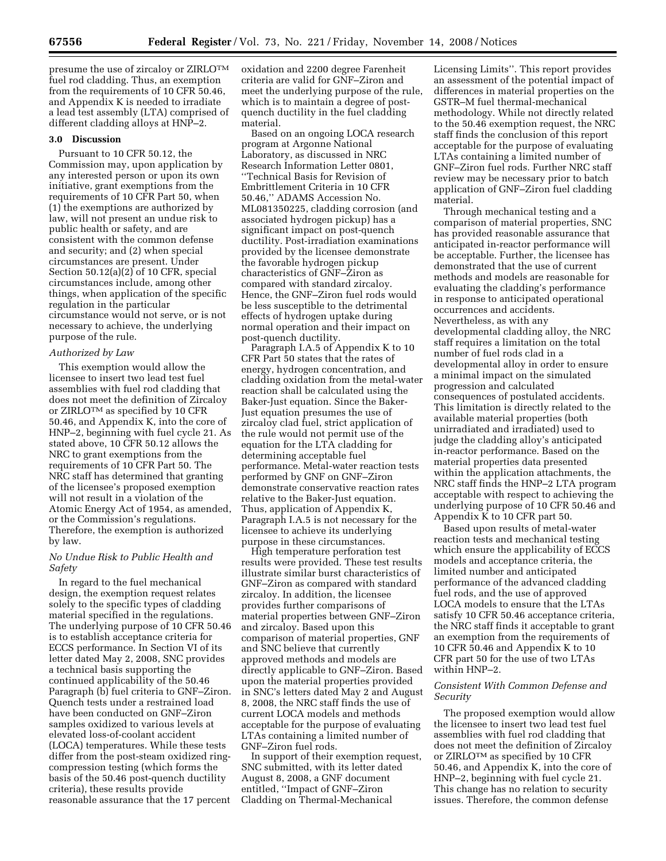presume the use of zircaloy or ZIRLOTM fuel rod cladding. Thus, an exemption from the requirements of 10 CFR 50.46, and Appendix K is needed to irradiate a lead test assembly (LTA) comprised of different cladding alloys at HNP–2.

#### **3.0 Discussion**

Pursuant to 10 CFR 50.12, the Commission may, upon application by any interested person or upon its own initiative, grant exemptions from the requirements of 10 CFR Part 50, when (1) the exemptions are authorized by law, will not present an undue risk to public health or safety, and are consistent with the common defense and security; and (2) when special circumstances are present. Under Section 50.12(a)(2) of 10 CFR, special circumstances include, among other things, when application of the specific regulation in the particular circumstance would not serve, or is not necessary to achieve, the underlying purpose of the rule.

#### *Authorized by Law*

This exemption would allow the licensee to insert two lead test fuel assemblies with fuel rod cladding that does not meet the definition of Zircaloy or ZIRLOTM as specified by 10 CFR 50.46, and Appendix K, into the core of HNP–2, beginning with fuel cycle 21. As stated above, 10 CFR 50.12 allows the NRC to grant exemptions from the requirements of 10 CFR Part 50. The NRC staff has determined that granting of the licensee's proposed exemption will not result in a violation of the Atomic Energy Act of 1954, as amended, or the Commission's regulations. Therefore, the exemption is authorized by law.

# *No Undue Risk to Public Health and Safety*

In regard to the fuel mechanical design, the exemption request relates solely to the specific types of cladding material specified in the regulations. The underlying purpose of 10 CFR 50.46 is to establish acceptance criteria for ECCS performance. In Section VI of its letter dated May 2, 2008, SNC provides a technical basis supporting the continued applicability of the 50.46 Paragraph (b) fuel criteria to GNF–Ziron. Quench tests under a restrained load have been conducted on GNF–Ziron samples oxidized to various levels at elevated loss-of-coolant accident (LOCA) temperatures. While these tests differ from the post-steam oxidized ringcompression testing (which forms the basis of the 50.46 post-quench ductility criteria), these results provide reasonable assurance that the 17 percent

oxidation and 2200 degree Farenheit criteria are valid for GNF–Ziron and meet the underlying purpose of the rule, which is to maintain a degree of postquench ductility in the fuel cladding material.

Based on an ongoing LOCA research program at Argonne National Laboratory, as discussed in NRC Research Information Letter 0801, ''Technical Basis for Revision of Embrittlement Criteria in 10 CFR 50.46,'' ADAMS Accession No. ML081350225, cladding corrosion (and associated hydrogen pickup) has a significant impact on post-quench ductility. Post-irradiation examinations provided by the licensee demonstrate the favorable hydrogen pickup characteristics of GNF–Ziron as compared with standard zircaloy. Hence, the GNF–Ziron fuel rods would be less susceptible to the detrimental effects of hydrogen uptake during normal operation and their impact on post-quench ductility.

Paragraph I.A.5 of Appendix K to 10 CFR Part 50 states that the rates of energy, hydrogen concentration, and cladding oxidation from the metal-water reaction shall be calculated using the Baker-Just equation. Since the Baker-Just equation presumes the use of zircaloy clad fuel, strict application of the rule would not permit use of the equation for the LTA cladding for determining acceptable fuel performance. Metal-water reaction tests performed by GNF on GNF–Ziron demonstrate conservative reaction rates relative to the Baker-Just equation. Thus, application of Appendix K, Paragraph I.A.5 is not necessary for the licensee to achieve its underlying purpose in these circumstances.

High temperature perforation test results were provided. These test results illustrate similar burst characteristics of GNF–Ziron as compared with standard zircaloy. In addition, the licensee provides further comparisons of material properties between GNF–Ziron and zircaloy. Based upon this comparison of material properties, GNF and SNC believe that currently approved methods and models are directly applicable to GNF–Ziron. Based upon the material properties provided in SNC's letters dated May 2 and August 8, 2008, the NRC staff finds the use of current LOCA models and methods acceptable for the purpose of evaluating LTAs containing a limited number of GNF–Ziron fuel rods.

In support of their exemption request, SNC submitted, with its letter dated August 8, 2008, a GNF document entitled, ''Impact of GNF–Ziron Cladding on Thermal-Mechanical

Licensing Limits''. This report provides an assessment of the potential impact of differences in material properties on the GSTR–M fuel thermal-mechanical methodology. While not directly related to the 50.46 exemption request, the NRC staff finds the conclusion of this report acceptable for the purpose of evaluating LTAs containing a limited number of GNF–Ziron fuel rods. Further NRC staff review may be necessary prior to batch application of GNF–Ziron fuel cladding material.

Through mechanical testing and a comparison of material properties, SNC has provided reasonable assurance that anticipated in-reactor performance will be acceptable. Further, the licensee has demonstrated that the use of current methods and models are reasonable for evaluating the cladding's performance in response to anticipated operational occurrences and accidents. Nevertheless, as with any developmental cladding alloy, the NRC staff requires a limitation on the total number of fuel rods clad in a developmental alloy in order to ensure a minimal impact on the simulated progression and calculated consequences of postulated accidents. This limitation is directly related to the available material properties (both unirradiated and irradiated) used to judge the cladding alloy's anticipated in-reactor performance. Based on the material properties data presented within the application attachments, the NRC staff finds the HNP–2 LTA program acceptable with respect to achieving the underlying purpose of 10 CFR 50.46 and Appendix K to 10 CFR part 50.

Based upon results of metal-water reaction tests and mechanical testing which ensure the applicability of ECCS models and acceptance criteria, the limited number and anticipated performance of the advanced cladding fuel rods, and the use of approved LOCA models to ensure that the LTAs satisfy 10 CFR 50.46 acceptance criteria, the NRC staff finds it acceptable to grant an exemption from the requirements of 10 CFR 50.46 and Appendix K to 10 CFR part 50 for the use of two LTAs within HNP–2.

# *Consistent With Common Defense and Security*

The proposed exemption would allow the licensee to insert two lead test fuel assemblies with fuel rod cladding that does not meet the definition of Zircaloy or ZIRLOTM as specified by 10 CFR 50.46, and Appendix K, into the core of HNP–2, beginning with fuel cycle 21. This change has no relation to security issues. Therefore, the common defense